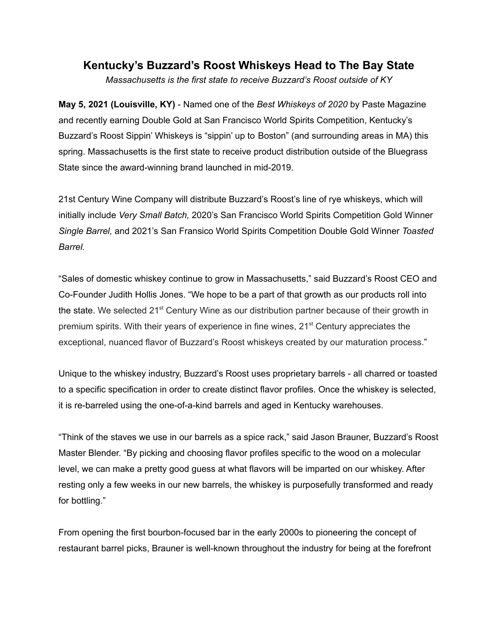## **Kentucky's Buzzard's Roost Whiskeys Head to The Bay State**

*Massachusetts is the first state to receive Buzzard's Roost outside of KY*

**May 5, 2021 (Louisville, KY)** - Named one of the *Best Whiskeys of 2020* by Paste Magazine and recently earning Double Gold at San Francisco World Spirits Competition, Kentucky's Buzzard's Roost Sippin' Whiskeys is "sippin' up to Boston" (and surrounding areas in MA) this spring. Massachusetts is the first state to receive product distribution outside of the Bluegrass State since the award-winning brand launched in mid-2019.

21st Century Wine Company will distribute Buzzard's Roost's line of rye whiskeys, which will initially include *Very Small Batch,* 2020's San Francisco World Spirits Competition Gold Winner *Single Barrel,* and 2021's San Fransico World Spirits Competition Double Gold Winner *Toasted Barrel.*

"Sales of domestic whiskey continue to grow in Massachusetts," said Buzzard's Roost CEO and Co-Founder Judith Hollis Jones. "We hope to be a part of that growth as our products roll into the state. We selected 21<sup>st</sup> Century Wine as our distribution partner because of their growth in premium spirits. With their years of experience in fine wines, 21<sup>st</sup> Century appreciates the exceptional, nuanced flavor of Buzzard's Roost whiskeys created by our maturation process."

Unique to the whiskey industry, Buzzard's Roost uses proprietary barrels - all charred or toasted to a specific specification in order to create distinct flavor profiles. Once the whiskey is selected, it is re-barreled using the one-of-a-kind barrels and aged in Kentucky warehouses.

"Think of the staves we use in our barrels as a spice rack," said Jason Brauner, Buzzard's Roost Master Blender. "By picking and choosing flavor profiles specific to the wood on a molecular level, we can make a pretty good guess at what flavors will be imparted on our whiskey. After resting only a few weeks in our new barrels, the whiskey is purposefully transformed and ready for bottling."

From opening the first bourbon-focused bar in the early 2000s to pioneering the concept of restaurant barrel picks, Brauner is well-known throughout the industry for being at the forefront